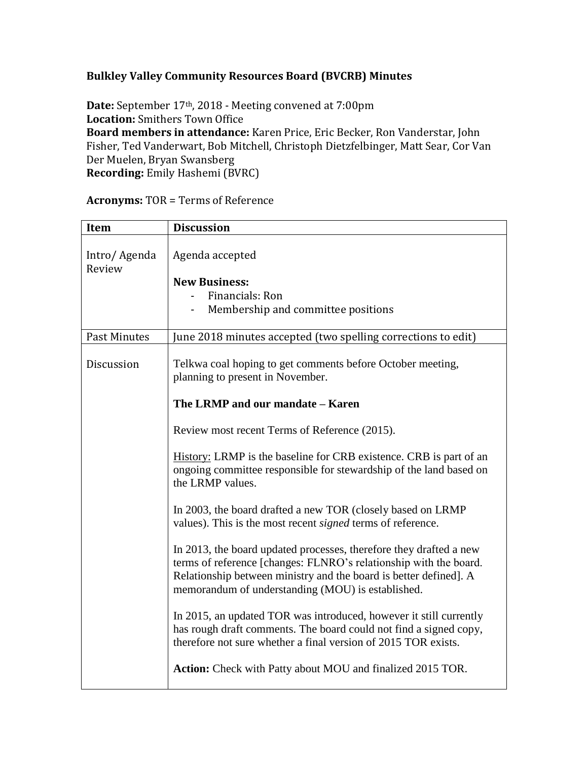## **Bulkley Valley Community Resources Board (BVCRB) Minutes**

**Date:** September 17th, 2018 - Meeting convened at 7:00pm **Location:** Smithers Town Office **Board members in attendance:** Karen Price, Eric Becker, Ron Vanderstar, John Fisher, Ted Vanderwart, Bob Mitchell, Christoph Dietzfelbinger, Matt Sear, Cor Van Der Muelen, Bryan Swansberg **Recording:** Emily Hashemi (BVRC)

| Item                   | <b>Discussion</b>                                                                                                                                                                                                                                                 |
|------------------------|-------------------------------------------------------------------------------------------------------------------------------------------------------------------------------------------------------------------------------------------------------------------|
| Intro/Agenda<br>Review | Agenda accepted<br><b>New Business:</b><br>Financials: Ron<br>Membership and committee positions                                                                                                                                                                  |
| Past Minutes           | June 2018 minutes accepted (two spelling corrections to edit)                                                                                                                                                                                                     |
| Discussion             | Telkwa coal hoping to get comments before October meeting,<br>planning to present in November.<br>The LRMP and our mandate - Karen                                                                                                                                |
|                        |                                                                                                                                                                                                                                                                   |
|                        | Review most recent Terms of Reference (2015).                                                                                                                                                                                                                     |
|                        | History: LRMP is the baseline for CRB existence. CRB is part of an<br>ongoing committee responsible for stewardship of the land based on<br>the LRMP values.                                                                                                      |
|                        | In 2003, the board drafted a new TOR (closely based on LRMP<br>values). This is the most recent <i>signed</i> terms of reference.                                                                                                                                 |
|                        | In 2013, the board updated processes, therefore they drafted a new<br>terms of reference [changes: FLNRO's relationship with the board.<br>Relationship between ministry and the board is better defined]. A<br>memorandum of understanding (MOU) is established. |
|                        | In 2015, an updated TOR was introduced, however it still currently<br>has rough draft comments. The board could not find a signed copy,<br>therefore not sure whether a final version of 2015 TOR exists.                                                         |
|                        | Action: Check with Patty about MOU and finalized 2015 TOR.                                                                                                                                                                                                        |

**Acronyms:** TOR = Terms of Reference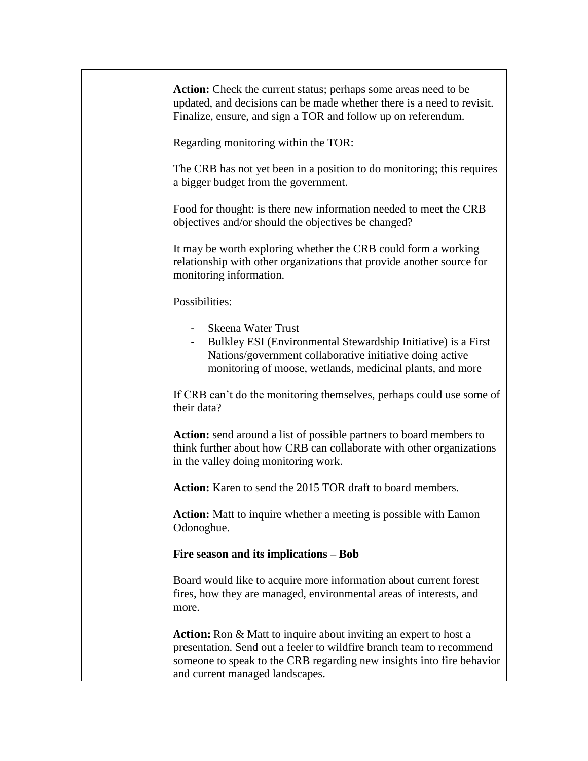| Action: Check the current status; perhaps some areas need to be<br>updated, and decisions can be made whether there is a need to revisit.<br>Finalize, ensure, and sign a TOR and follow up on referendum.                                                  |
|-------------------------------------------------------------------------------------------------------------------------------------------------------------------------------------------------------------------------------------------------------------|
| Regarding monitoring within the TOR:                                                                                                                                                                                                                        |
| The CRB has not yet been in a position to do monitoring; this requires<br>a bigger budget from the government.                                                                                                                                              |
| Food for thought: is there new information needed to meet the CRB<br>objectives and/or should the objectives be changed?                                                                                                                                    |
| It may be worth exploring whether the CRB could form a working<br>relationship with other organizations that provide another source for<br>monitoring information.                                                                                          |
| Possibilities:                                                                                                                                                                                                                                              |
| - Skeena Water Trust<br>- Bulkley ESI (Environmental Stewardship Initiative) is a First<br>Nations/government collaborative initiative doing active<br>monitoring of moose, wetlands, medicinal plants, and more                                            |
| If CRB can't do the monitoring themselves, perhaps could use some of<br>their data?                                                                                                                                                                         |
| Action: send around a list of possible partners to board members to<br>think further about how CRB can collaborate with other organizations<br>in the valley doing monitoring work.                                                                         |
| Action: Karen to send the 2015 TOR draft to board members.                                                                                                                                                                                                  |
| <b>Action:</b> Matt to inquire whether a meeting is possible with Eamon<br>Odonoghue.                                                                                                                                                                       |
| Fire season and its implications – Bob                                                                                                                                                                                                                      |
| Board would like to acquire more information about current forest<br>fires, how they are managed, environmental areas of interests, and<br>more.                                                                                                            |
| <b>Action:</b> Ron & Matt to inquire about inviting an expert to host a<br>presentation. Send out a feeler to wildfire branch team to recommend<br>someone to speak to the CRB regarding new insights into fire behavior<br>and current managed landscapes. |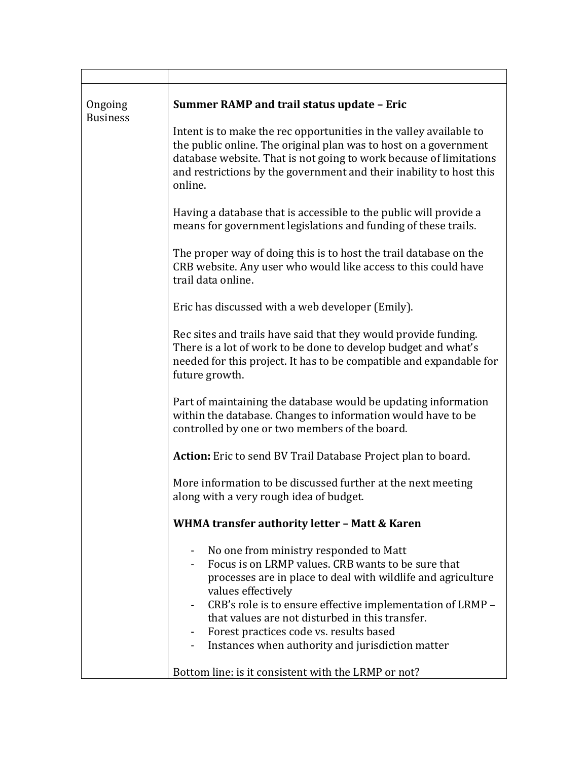| Ongoing<br><b>Business</b> | <b>Summer RAMP and trail status update - Eric</b>                                                                                                                                                                                                                                                                                                                                                                    |
|----------------------------|----------------------------------------------------------------------------------------------------------------------------------------------------------------------------------------------------------------------------------------------------------------------------------------------------------------------------------------------------------------------------------------------------------------------|
|                            | Intent is to make the rec opportunities in the valley available to<br>the public online. The original plan was to host on a government<br>database website. That is not going to work because of limitations<br>and restrictions by the government and their inability to host this<br>online.                                                                                                                       |
|                            | Having a database that is accessible to the public will provide a<br>means for government legislations and funding of these trails.                                                                                                                                                                                                                                                                                  |
|                            | The proper way of doing this is to host the trail database on the<br>CRB website. Any user who would like access to this could have<br>trail data online.                                                                                                                                                                                                                                                            |
|                            | Eric has discussed with a web developer (Emily).                                                                                                                                                                                                                                                                                                                                                                     |
|                            | Rec sites and trails have said that they would provide funding.<br>There is a lot of work to be done to develop budget and what's<br>needed for this project. It has to be compatible and expandable for<br>future growth.                                                                                                                                                                                           |
|                            | Part of maintaining the database would be updating information<br>within the database. Changes to information would have to be<br>controlled by one or two members of the board.                                                                                                                                                                                                                                     |
|                            | <b>Action:</b> Eric to send BV Trail Database Project plan to board.                                                                                                                                                                                                                                                                                                                                                 |
|                            | More information to be discussed further at the next meeting<br>along with a very rough idea of budget.                                                                                                                                                                                                                                                                                                              |
|                            | WHMA transfer authority letter - Matt & Karen                                                                                                                                                                                                                                                                                                                                                                        |
|                            | No one from ministry responded to Matt<br>$\blacksquare$<br>Focus is on LRMP values. CRB wants to be sure that<br>processes are in place to deal with wildlife and agriculture<br>values effectively<br>CRB's role is to ensure effective implementation of LRMP -<br>that values are not disturbed in this transfer.<br>Forest practices code vs. results based<br>Instances when authority and jurisdiction matter |
|                            | <b>Bottom line:</b> is it consistent with the LRMP or not?                                                                                                                                                                                                                                                                                                                                                           |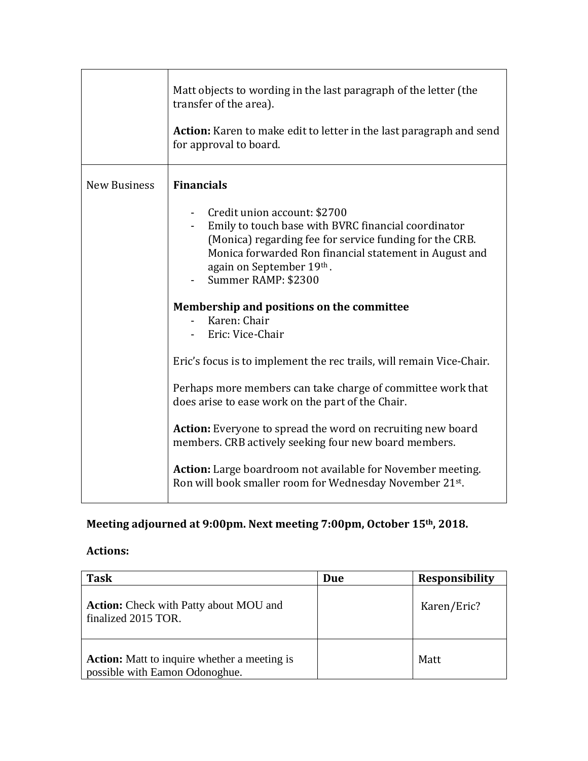|                     | Matt objects to wording in the last paragraph of the letter (the<br>transfer of the area).<br><b>Action:</b> Karen to make edit to letter in the last paragraph and send<br>for approval to board.                                                                                                                                                                                                                                                                                                                                                                                                                                                                                                                                                                                                                            |
|---------------------|-------------------------------------------------------------------------------------------------------------------------------------------------------------------------------------------------------------------------------------------------------------------------------------------------------------------------------------------------------------------------------------------------------------------------------------------------------------------------------------------------------------------------------------------------------------------------------------------------------------------------------------------------------------------------------------------------------------------------------------------------------------------------------------------------------------------------------|
| <b>New Business</b> | <b>Financials</b><br>Credit union account: \$2700<br>Emily to touch base with BVRC financial coordinator<br>(Monica) regarding fee for service funding for the CRB.<br>Monica forwarded Ron financial statement in August and<br>again on September 19th.<br>Summer RAMP: \$2300<br>Membership and positions on the committee<br>Karen: Chair<br>Eric: Vice-Chair<br>Eric's focus is to implement the rec trails, will remain Vice-Chair.<br>Perhaps more members can take charge of committee work that<br>does arise to ease work on the part of the Chair.<br><b>Action:</b> Everyone to spread the word on recruiting new board<br>members. CRB actively seeking four new board members.<br><b>Action:</b> Large boardroom not available for November meeting.<br>Ron will book smaller room for Wednesday November 21st. |

## **Meeting adjourned at 9:00pm. Next meeting 7:00pm, October 15th, 2018.**

## **Actions:**

| <b>Task</b>                                                                           | Due | <b>Responsibility</b> |
|---------------------------------------------------------------------------------------|-----|-----------------------|
| <b>Action:</b> Check with Patty about MOU and<br>finalized 2015 TOR.                  |     | Karen/Eric?           |
| <b>Action:</b> Matt to inquire whether a meeting is<br>possible with Eamon Odonoghue. |     | Matt                  |